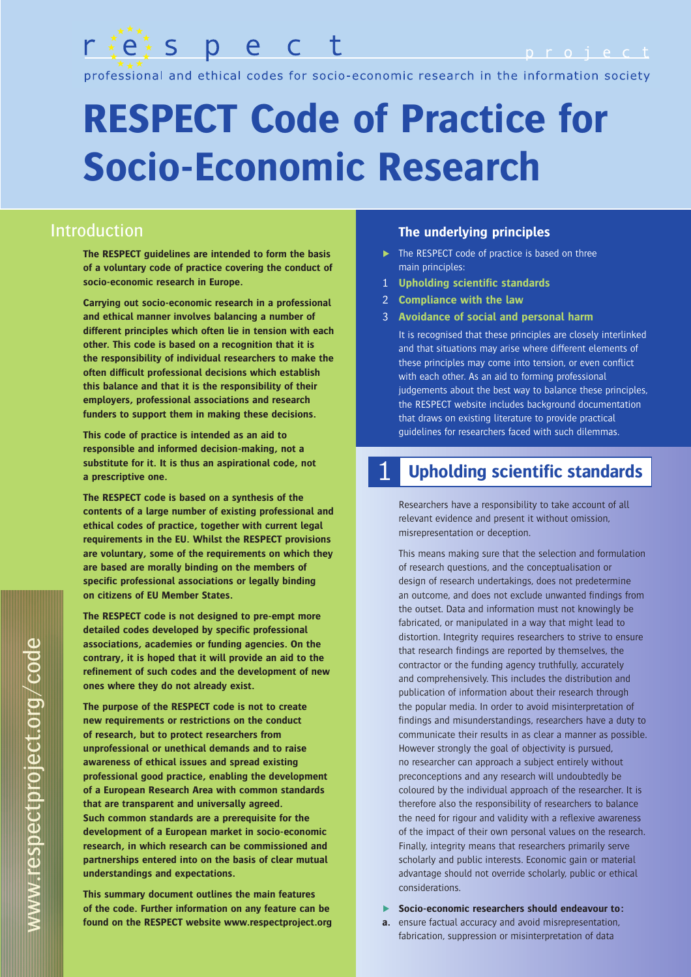professional and ethical codes for socio-economic research in the information society

# **RESPECT Code of Practice for Socio-Economic Research**

### Introduction

**The RESPECT guidelines are intended to form the basis of a voluntary code of practice covering the conduct of socio-economic research in Europe.** 

r fets pect

**Carrying out socio-economic research in a professional and ethical manner involves balancing a number of different principles which often lie in tension with each other. This code is based on a recognition that it is the responsibility of individual researchers to make the often difficult professional decisions which establish this balance and that it is the responsibility of their employers, professional associations and research funders to support them in making these decisions.**

**This code of practice is intended as an aid to responsible and informed decision-making, not a substitute for it. It is thus an aspirational code, not a prescriptive one.** 

**The RESPECT code is based on a synthesis of the contents of a large number of existing professional and ethical codes of practice, together with current legal requirements in the EU. Whilst the RESPECT provisions are voluntary, some of the requirements on which they are based are morally binding on the members of specific professional associations or legally binding on citizens of EU Member States.** 

**The RESPECT code is not designed to pre-empt more detailed codes developed by specific professional associations, academies or funding agencies. On the contrary, it is hoped that it will provide an aid to the refinement of such codes and the development of new ones where they do not already exist.**

**The purpose of the RESPECT code is not to create new requirements or restrictions on the conduct of research, but to protect researchers from unprofessional or unethical demands and to raise awareness of ethical issues and spread existing professional good practice, enabling the development of a European Research Area with common standards that are transparent and universally agreed. Such common standards are a prerequisite for the development of a European market in socio-economic research, in which research can be commissioned and partnerships entered into on the basis of clear mutual understandings and expectations.** 

**This summary document outlines the main features of the code. Further information on any feature can be found on the RESPECT website www.respectproject.org**

#### **The underlying principles**

- ▶ The RESPECT code of practice is based on three main principles:
- 1 **Upholding scientific standards**
- 2 **Compliance with the law**
- 3 **Avoidance of social and personal harm**

It is recognised that these principles are closely interlinked and that situations may arise where different elements of these principles may come into tension, or even conflict with each other. As an aid to forming professional judgements about the best way to balance these principles, the RESPECT website includes background documentation that draws on existing literature to provide practical guidelines for researchers faced with such dilemmas.

# 1 **Upholding scientific standards**

Researchers have a responsibility to take account of all relevant evidence and present it without omission, misrepresentation or deception.

This means making sure that the selection and formulation of research questions, and the conceptualisation or design of research undertakings, does not predetermine an outcome, and does not exclude unwanted findings from the outset. Data and information must not knowingly be fabricated, or manipulated in a way that might lead to distortion. Integrity requires researchers to strive to ensure that research findings are reported by themselves, the contractor or the funding agency truthfully, accurately and comprehensively. This includes the distribution and publication of information about their research through the popular media. In order to avoid misinterpretation of findings and misunderstandings, researchers have a duty to communicate their results in as clear a manner as possible. However strongly the goal of objectivity is pursued, no researcher can approach a subject entirely without preconceptions and any research will undoubtedly be coloured by the individual approach of the researcher. It is therefore also the responsibility of researchers to balance the need for rigour and validity with a reflexive awareness of the impact of their own personal values on the research. Finally, integrity means that researchers primarily serve scholarly and public interests. Economic gain or material advantage should not override scholarly, public or ethical considerations.

- **Socio-economic researchers should endeavour to:**
- **a.** ensure factual accuracy and avoid misrepresentation, fabrication, suppression or misinterpretation of data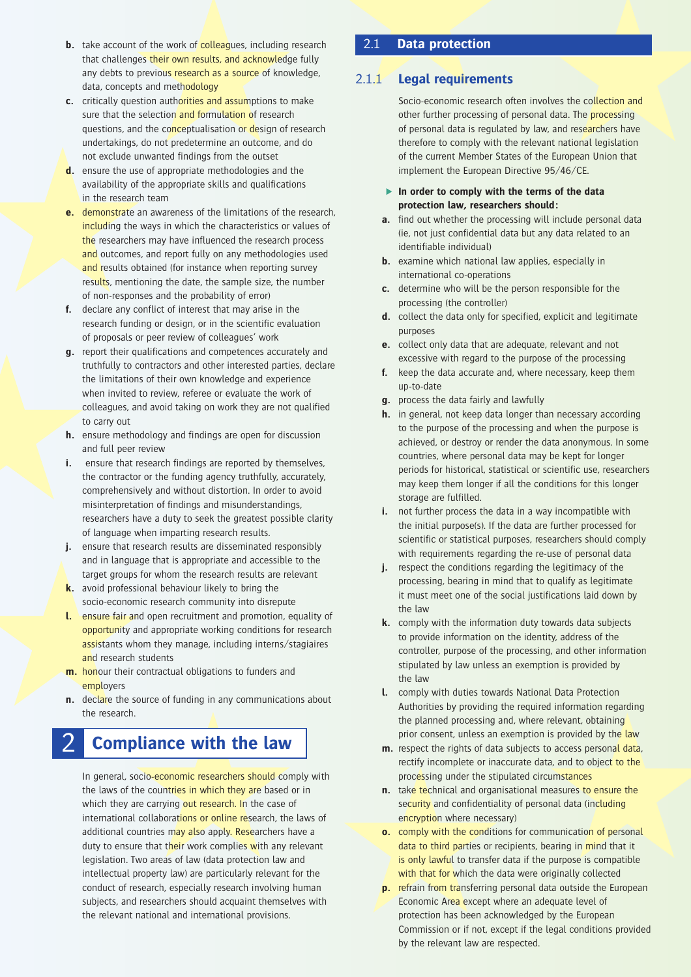- **b.** take account of the work of **colleagues**, including research that challenges their own results, and acknowledge fully any debts to previous research as a source of knowledge, data, concepts and methodology
- **c.** critically question authorities and assumptions to make sure that the selection and formulation of research questions, and the conceptualisation or design of research undertakings, do not predetermine an outcome, and do not exclude unwanted findings from the outset
- **d.** ensure the use of appropriate methodologies and the availability of the appropriate skills and qualifications in the research team
- **e.** demonstrate an awareness of the limitations of the research, including the ways in which the characteristics or values of the researchers may have influenced the research process and outcomes, and report fully on any methodologies used and results obtained (for instance when reporting survey results, mentioning the date, the sample size, the number of non-responses and the probability of error)
- **f.** declare any conflict of interest that may arise in the research funding or design, or in the scientific evaluation of proposals or peer review of colleagues' work
- **g.** report their qualifications and competences accurately and truthfully to contractors and other interested parties, declare the limitations of their own knowledge and experience when invited to review, referee or evaluate the work of colleagues, and avoid taking on work they are not qualified to carry out
- **h.** ensure methodology and findings are open for discussion and full peer review
- **i.** ensure that research findings are reported by themselves, the contractor or the funding agency truthfully, accurately, comprehensively and without distortion. In order to avoid misinterpretation of findings and misunderstandings, researchers have a duty to seek the greatest possible clarity of language when imparting research results.
- **j.** ensure that research results are disseminated responsibly and in language that is appropriate and accessible to the target groups for whom the research results are relevant
- **k.** avoid professional behaviour likely to bring the socio-economic research community into disrepute
- **l.** ensure fair and open recruitment and promotion, equality of opportunity and appropriate working conditions for research assistants whom they manage, including interns/stagiaires and research students
- **m.** honour their contractual obligations to funders and employers
- **n.** declare the source of funding in any communications about the research.

# 2 **Compliance with the law**

In general, socio-economic researchers should comply with the laws of the countries in which they are based or in which they are carrying out research. In the case of international collaborations or online research, the laws of additional countries may also apply. Researchers have a duty to ensure that their work complies with any relevant legislation. Two areas of law (data protection law and intellectual property law) are particularly relevant for the conduct of research, especially research involving human subjects, and researchers should acquaint themselves with the relevant national and international provisions.

#### 2.1 **Data protection**

#### 2.1.1 **Legal requirements**

Socio-economic research often involves the collection and other further processing of personal data. The **processing** of personal data is regulated by law, and researchers have therefore to comply with the relevant national legislation of the current Member States of the European Union that implement the European Directive 95/46/CE.

- **In order to comply with the terms of the data protection law, researchers should:**
- **a.** find out whether the processing will include personal data (ie, not just confidential data but any data related to an identifiable individual)
- **b.** examine which national law applies, especially in international co-operations
- **c.** determine who will be the person responsible for the processing (the controller)
- **d.** collect the data only for specified, explicit and legitimate purposes
- **e.** collect only data that are adequate, relevant and not excessive with regard to the purpose of the processing
- **f.** keep the data accurate and, where necessary, keep them up-to-date
- **g.** process the data fairly and lawfully
- **h.** in general, not keep data longer than necessary according to the purpose of the processing and when the purpose is achieved, or destroy or render the data anonymous. In some countries, where personal data may be kept for longer periods for historical, statistical or scientific use, researchers may keep them longer if all the conditions for this longer storage are fulfilled.
- **i.** not further process the data in a way incompatible with the initial purpose(s). If the data are further processed for scientific or statistical purposes, researchers should comply with requirements regarding the re-use of personal data
- **j.** respect the conditions regarding the legitimacy of the processing, bearing in mind that to qualify as legitimate it must meet one of the social justifications laid down by the law
- **k.** comply with the information duty towards data subjects to provide information on the identity, address of the controller, purpose of the processing, and other information stipulated by law unless an exemption is provided by the law
- **l.** comply with duties towards National Data Protection Authorities by providing the required information regarding the planned processing and, where relevant, obtaining prior consent, unless an exemption is provided by the law
- **m.** respect the rights of data subjects to access personal data, rectify incomplete or inaccurate data, and to object to the processing under the stipulated circumstances
- **n.** take technical and organisational measures to ensure the security and confidentiality of personal data (including encryption where necessary)
- **o.** comply with the conditions for communication of personal data to third parties or recipients, bearing in mind that it is only lawful to transfer data if the purpose is compatible with that for which the data were originally collected
- **p.** refrain from transferring personal data outside the European Economic Area except where an adequate level of protection has been acknowledged by the European Commission or if not, except if the legal conditions provided by the relevant law are respected.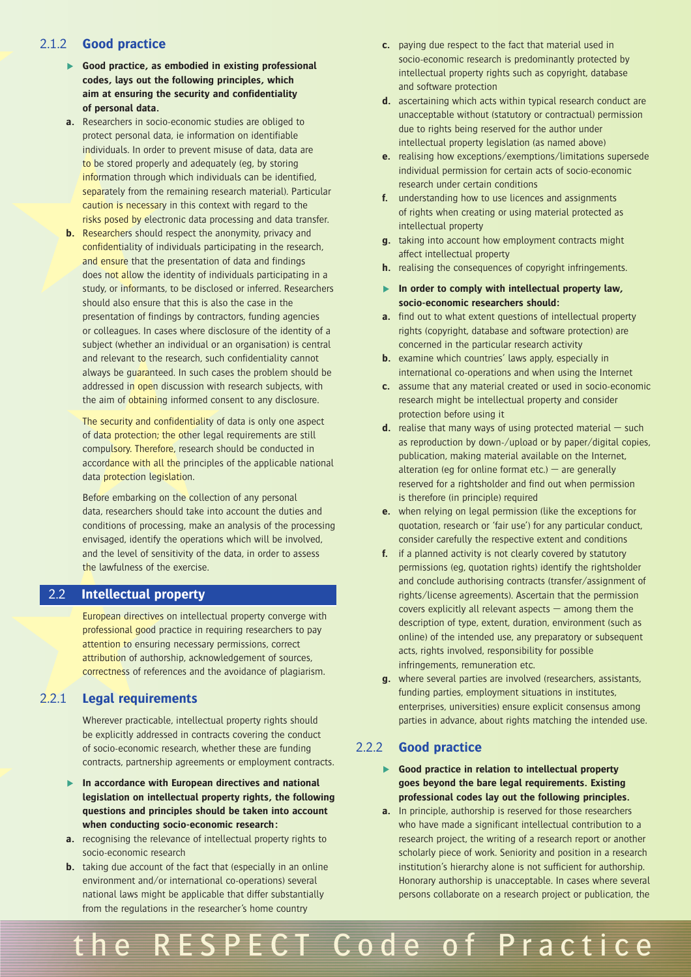#### 2.1.2 **Good practice**

- **Good practice, as embodied in existing professional codes, lays out the following principles, which aim at ensuring the security and confidentiality of personal data.**
- **a.** Researchers in socio-economic studies are obliged to protect personal data, ie information on identifiable individuals. In order to prevent misuse of data, data are to be stored properly and adequately (eg, by storing information through which individuals can be identified, separately from the remaining research material). Particular caution is necessary in this context with regard to the risks posed by electronic data processing and data transfer.
- **b.** Researchers should respect the anonymity, privacy and confidentiality of individuals participating in the research, and ensure that the presentation of data and findings does not allow the identity of individuals participating in a study, or informants, to be disclosed or inferred. Researchers should also ensure that this is also the case in the presentation of findings by contractors, funding agencies or colleagues. In cases where disclosure of the identity of a subject (whether an individual or an organisation) is central and relevant to the research, such confidentiality cannot always be guaranteed. In such cases the problem should be addressed in open discussion with research subjects, with the aim of obtaining informed consent to any disclosure.

The security and confidentiality of data is only one aspect of data protection; the other legal requirements are still compulsory. Therefore, research should be conducted in accordance with all the principles of the applicable national data protection legislation.

Before embarking on the collection of any personal data, researchers should take into account the duties and conditions of processing, make an analysis of the processing envisaged, identify the operations which will be involved, and the level of sensitivity of the data, in order to assess the lawfulness of the exercise.

#### 2.2 **Intellectual property**

European directives on intellectual property converge with professional good practice in requiring researchers to pay attention to ensuring necessary permissions, correct attribution of authorship, acknowledgement of sources, correctness of references and the avoidance of plagiarism.

#### 2.2.1 **Legal requirements**

Wherever practicable, intellectual property rights should be explicitly addressed in contracts covering the conduct of socio-economic research, whether these are funding contracts, partnership agreements or employment contracts.

- **In accordance with European directives and national legislation on intellectual property rights, the following questions and principles should be taken into account when conducting socio-economic research:**
- **a.** recognising the relevance of intellectual property rights to socio-economic research
- **b.** taking due account of the fact that (especially in an online environment and/or international co-operations) several national laws might be applicable that differ substantially from the regulations in the researcher's home country
- **c.** paying due respect to the fact that material used in socio-economic research is predominantly protected by intellectual property rights such as copyright, database and software protection
- **d.** ascertaining which acts within typical research conduct are unacceptable without (statutory or contractual) permission due to rights being reserved for the author under intellectual property legislation (as named above)
- **e.** realising how exceptions/exemptions/limitations supersede individual permission for certain acts of socio-economic research under certain conditions
- **f.** understanding how to use licences and assignments of rights when creating or using material protected as intellectual property
- **g.** taking into account how employment contracts might affect intellectual property
- **h.** realising the consequences of copyright infringements.
- **In order to comply with intellectual property law, socio-economic researchers should:**
- **a.** find out to what extent questions of intellectual property rights (copyright, database and software protection) are concerned in the particular research activity
- **b.** examine which countries' laws apply, especially in international co-operations and when using the Internet
- **c.** assume that any material created or used in socio-economic research might be intellectual property and consider protection before using it
- **d.** realise that many ways of using protected material such as reproduction by down-/upload or by paper/digital copies, publication, making material available on the Internet, alteration (eg for online format etc.)  $-$  are generally reserved for a rightsholder and find out when permission is therefore (in principle) required
- **e.** when relying on legal permission (like the exceptions for quotation, research or 'fair use') for any particular conduct, consider carefully the respective extent and conditions
- **f.** if a planned activity is not clearly covered by statutory permissions (eg, quotation rights) identify the rightsholder and conclude authorising contracts (transfer/assignment of rights/license agreements). Ascertain that the permission covers explicitly all relevant aspects  $-$  among them the description of type, extent, duration, environment (such as online) of the intended use, any preparatory or subsequent acts, rights involved, responsibility for possible infringements, remuneration etc.
- **g.** where several parties are involved (researchers, assistants, funding parties, employment situations in institutes, enterprises, universities) ensure explicit consensus among parties in advance, about rights matching the intended use.

#### 2.2.2 **Good practice**

- **Good practice in relation to intellectual property goes beyond the bare legal requirements. Existing professional codes lay out the following principles.**
- **a.** In principle, authorship is reserved for those researchers who have made a significant intellectual contribution to a research project, the writing of a research report or another scholarly piece of work. Seniority and position in a research institution's hierarchy alone is not sufficient for authorship. Honorary authorship is unacceptable. In cases where several persons collaborate on a research project or publication, the

# the RESPECT Code of Practice